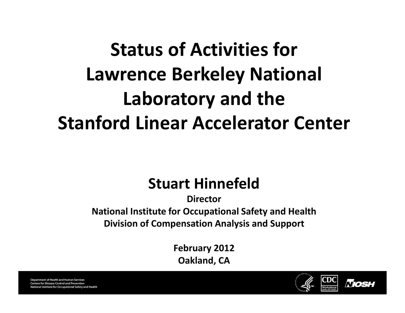# Status of Activities for Lawrence Berkeley National Laboratory and the Stanford Linear Accelerator Center

#### Stuart Hinnefeld

**Director** National Institute for Occupational Safety and Health Division of Compensation Analysis and Support

> February 2012 Oakland, CA

**Department of Health and Human Services Centers for Disease Control and Prevention** National Institute for Occupational Safety and Health

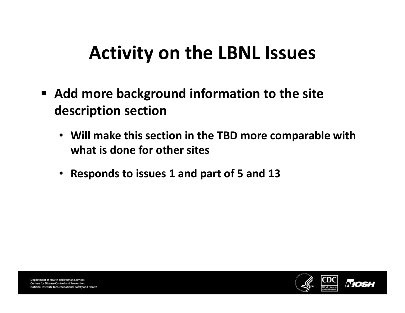## Activity on the LBNL Issues

- Add more background information to the site description section
	- Will make this section in the TBD more comparable with what is done for other sites
	- Responds to issues 1 and part of 5 and 13

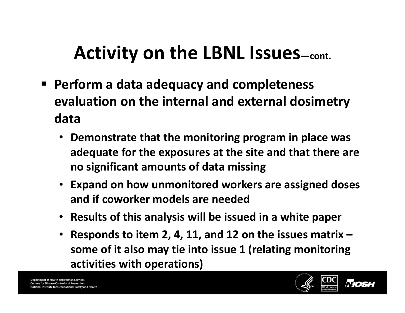# Activity on the LBNL Issues—cont.

- Perform a data adequacy and completeness evaluation on the internal and external dosimetry data
	- Demonstrate that the monitoring program in place was adequate for the exposures at the site and that there are no significant amounts of data missing
	- Expand on how unmonitored workers are assigned doses and if coworker models are needed
	- Results of this analysis will be issued in a white paper
	- Responds to item 2, 4, 11, and 12 on the issues matrix some of it also may tie into issue 1 (relating monitoring activities with operations)

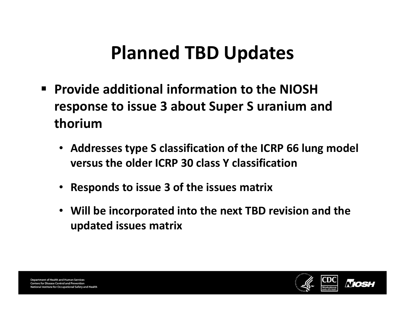# Planned TBD Updates

- Provide additional information to the NIOSH response to issue 3 about Super S uranium and thorium
	- Addresses type S classification of the ICRP 66 lung model versus the older ICRP 30 class Y classification
	- Responds to issue 3 of the issues matrix
	- Will be incorporated into the next TBD revision and the updated issues matrix

**Department of Health and Human Services Centers for Disease Control and Prevention** nal Institute for Occupational Safety and Health

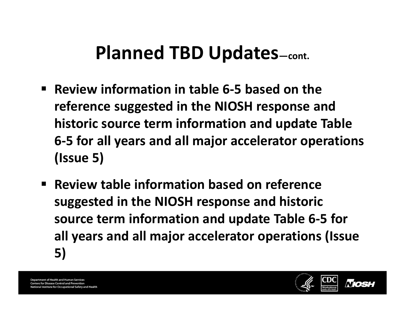# Planned TBD Updates—cont.

- Review information in table 6-5 based on the reference suggested in the NIOSH response and historic source term information and update Table 6-5 for all years and all major accelerator operations (Issue 5)
- Review table information based on reference suggested in the NIOSH response and historic source term information and update Table 6-5 for all years and all major accelerator operations (Issue 5)

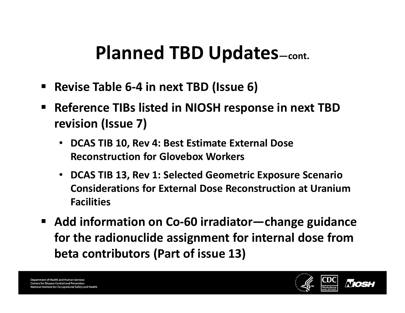# Planned TBD Updates—cont.

- $\blacksquare$ Revise Table 6-4 in next TBD (Issue 6)
- Reference TIBs listed in NIOSH response in next TBD revision (Issue 7)
	- DCAS TIB 10, Rev 4: Best Estimate External Dose Reconstruction for Glovebox Workers
	- DCAS TIB 13, Rev 1: Selected Geometric Exposure Scenario Considerations for External Dose Reconstruction at Uranium Facilities
- Add information on Co-60 irradiator—change guidance for the radionuclide assignment for internal dose from beta contributors (Part of issue 13)

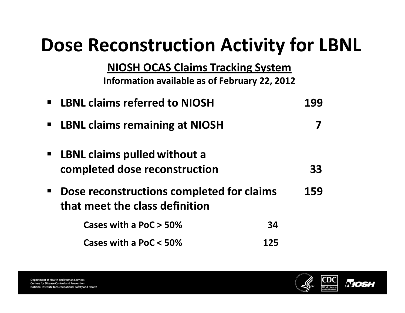## Dose Reconstruction Activity for LBNL

NIOSH OCAS Claims Tracking System Information available as of February 22, 2012

| <b>E</b> LBNL claims referred to NIOSH                                      | 199 |
|-----------------------------------------------------------------------------|-----|
| <b>LBNL claims remaining at NIOSH</b>                                       |     |
| LBNL claims pulled without a<br>completed dose reconstruction               | 33  |
| Dose reconstructions completed for claims<br>that meet the class definition | 159 |
| Cases with a PoC > 50%<br>34                                                |     |
| Cases with a PoC $<$ 50%<br>175                                             |     |